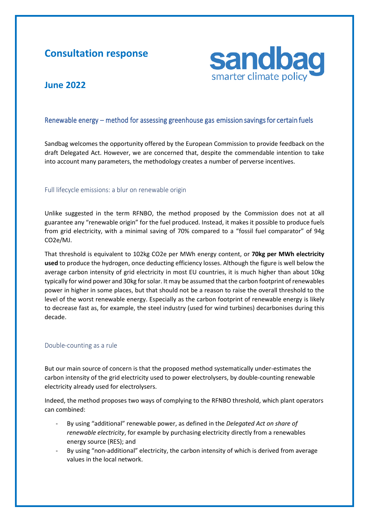# **Consultation response**



# **June 2022**

### Renewable energy – method for assessing greenhouse gas emission savings for certain fuels

Sandbag welcomes the opportunity offered by the European Commission to provide feedback on the draft Delegated Act. However, we are concerned that, despite the commendable intention to take into account many parameters, the methodology creates a number of perverse incentives.

#### Full lifecycle emissions: a blur on renewable origin

Unlike suggested in the term RFNBO, the method proposed by the Commission does not at all guarantee any "renewable origin" for the fuel produced. Instead, it makes it possible to produce fuels from grid electricity, with a minimal saving of 70% compared to a "fossil fuel comparator" of 94g CO2e/MJ.

That threshold is equivalent to 102kg CO2e per MWh energy content, or **70kg per MWh electricity used** to produce the hydrogen, once deducting efficiency losses. Although the figure is well below the average carbon intensity of grid electricity in most EU countries, it is much higher than about 10kg typically for wind power and 30kg for solar. It may be assumed that the carbon footprint of renewables power in higher in some places, but that should not be a reason to raise the overall threshold to the level of the worst renewable energy. Especially as the carbon footprint of renewable energy is likely to decrease fast as, for example, the steel industry (used for wind turbines) decarbonises during this decade.

#### Double-counting as a rule

But our main source of concern is that the proposed method systematically under-estimates the carbon intensity of the grid electricity used to power electrolysers, by double-counting renewable electricity already used for electrolysers.

Indeed, the method proposes two ways of complying to the RFNBO threshold, which plant operators can combined:

- By using "additional" renewable power, as defined in the *Delegated Act on share of renewable electricity*, for example by purchasing electricity directly from a renewables energy source (RES); and
- By using "non-additional" electricity, the carbon intensity of which is derived from average values in the local network.